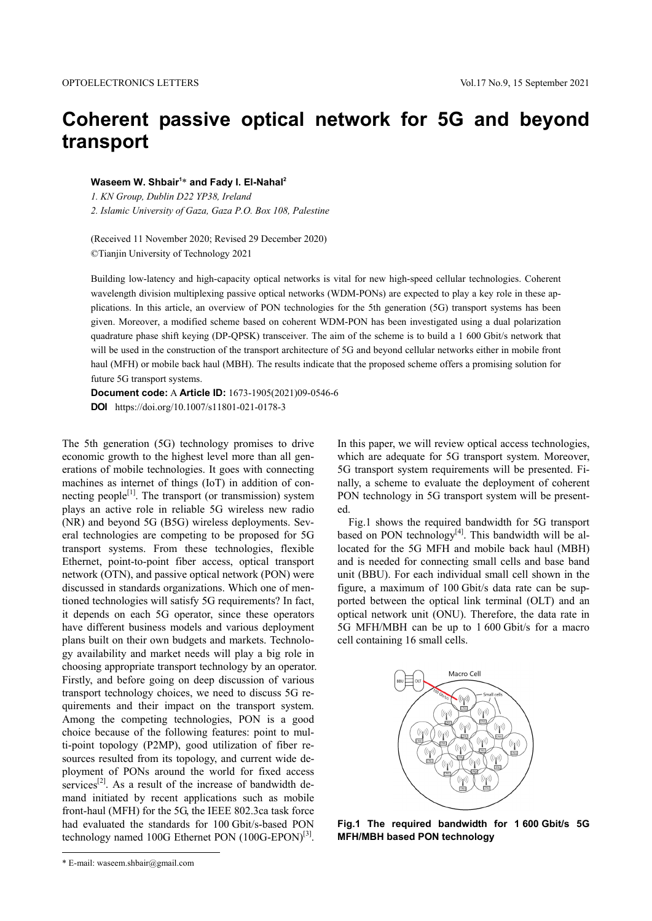# **Coherent passive optical network for 5G and beyond transport**

### **Waseem W. Shbair1** \* **and Fady I. El-Nahal2**

*1. KN Group, Dublin D22 YP38, Ireland* 

*2. Islamic University of Gaza, Gaza P.O. Box 108, Palestine1*

(Received 11 November 2020; Revised 29 December 2020) ©Tianjin University of Technology 2021

Building low-latency and high-capacity optical networks is vital for new high-speed cellular technologies. Coherent wavelength division multiplexing passive optical networks (WDM-PONs) are expected to play a key role in these applications. In this article, an overview of PON technologies for the 5th generation (5G) transport systems has been given. Moreover, a modified scheme based on coherent WDM-PON has been investigated using a dual polarization quadrature phase shift keying (DP-QPSK) transceiver. The aim of the scheme is to build a 1 600 Gbit/s network that will be used in the construction of the transport architecture of 5G and beyond cellular networks either in mobile front haul (MFH) or mobile back haul (MBH). The results indicate that the proposed scheme offers a promising solution for future 5G transport systems.

**Document code:** A **Article ID:** 1673-1905(2021)09-0546-6 **DOI** https://doi.org/10.1007/s11801-021-0178-3

The 5th generation (5G) technology promises to drive economic growth to the highest level more than all generations of mobile technologies. It goes with connecting machines as internet of things (IoT) in addition of connecting people<sup>[1]</sup>. The transport (or transmission) system plays an active role in reliable 5G wireless new radio (NR) and beyond 5G (B5G) wireless deployments. Several technologies are competing to be proposed for 5G transport systems. From these technologies, flexible Ethernet, point-to-point fiber access, optical transport network (OTN), and passive optical network (PON) were discussed in standards organizations. Which one of mentioned technologies will satisfy 5G requirements? In fact, it depends on each 5G operator, since these operators have different business models and various deployment plans built on their own budgets and markets. Technology availability and market needs will play a big role in choosing appropriate transport technology by an operator. Firstly, and before going on deep discussion of various transport technology choices, we need to discuss 5G requirements and their impact on the transport system. Among the competing technologies, PON is a good choice because of the following features: point to multi-point topology (P2MP), good utilization of fiber resources resulted from its topology, and current wide deployment of PONs around the world for fixed access services<sup>[2]</sup>. As a result of the increase of bandwidth demand initiated by recent applications such as mobile front-haul (MFH) for the 5G, the IEEE 802.3ca task force had evaluated the standards for 100 Gbit/s-based PON technology named 100G Ethernet PON (100G-EPON)<sup>[3]</sup>.

In this paper, we will review optical access technologies, which are adequate for 5G transport system. Moreover, 5G transport system requirements will be presented. Finally, a scheme to evaluate the deployment of coherent PON technology in 5G transport system will be presented.

Fig.1 shows the required bandwidth for 5G transport based on PON technology $[4]$ . This bandwidth will be allocated for the 5G MFH and mobile back haul (MBH) and is needed for connecting small cells and base band unit (BBU). For each individual small cell shown in the figure, a maximum of 100 Gbit/s data rate can be supported between the optical link terminal (OLT) and an optical network unit (ONU). Therefore, the data rate in 5G MFH/MBH can be up to 1 600 Gbit/s for a macro cell containing 16 small cells.



**Fig.1 The required bandwidth for 1 600 Gbit/s 5G MFH/MBH based PON technology**

<sup>\*</sup> E-mail: waseem.shbair@gmail.com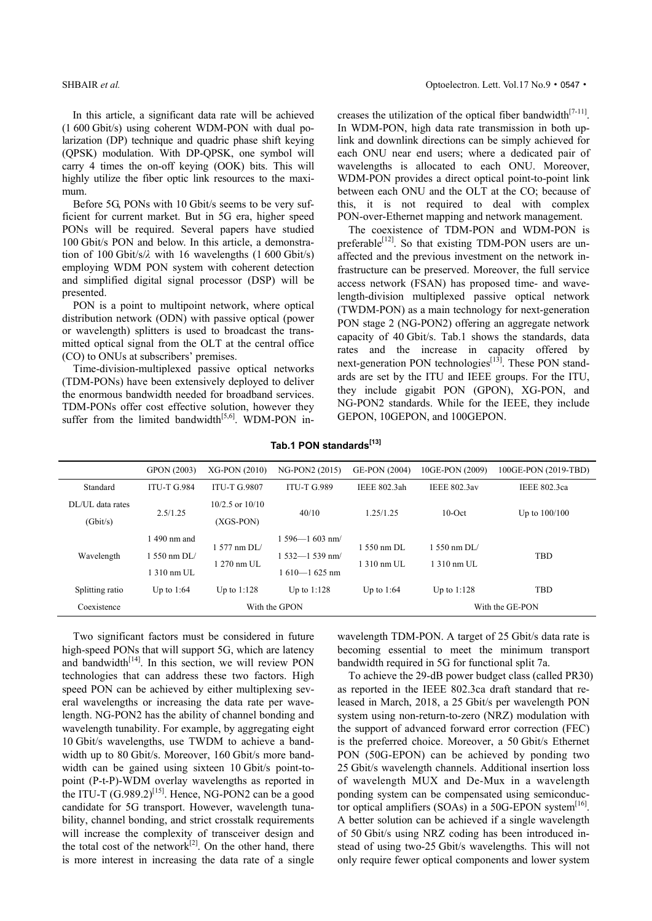SHBAIR *et al.* **Optoelectron.** Lett. Vol.17 No.9 • 0547 • Contract the SHBAIR *et al.* **Optoelectron.** Lett. Vol.17 No.9 • 0547 •

In this article, a significant data rate will be achieved (1 600 Gbit/s) using coherent WDM-PON with dual polarization (DP) technique and quadric phase shift keying (QPSK) modulation. With DP-QPSK, one symbol will carry 4 times the on-off keying (OOK) bits. This will highly utilize the fiber optic link resources to the maximum.

Before 5G, PONs with 10 Gbit/s seems to be very sufficient for current market. But in 5G era, higher speed PONs will be required. Several papers have studied 100 Gbit/s PON and below. In this article, a demonstration of 100 Gbit/s/*λ* with 16 wavelengths (1 600 Gbit/s) employing WDM PON system with coherent detection and simplified digital signal processor (DSP) will be presented.

PON is a point to multipoint network, where optical distribution network (ODN) with passive optical (power or wavelength) splitters is used to broadcast the transmitted optical signal from the OLT at the central office (CO) to ONUs at subscribers' premises.

Time-division-multiplexed passive optical networks (TDM-PONs) have been extensively deployed to deliver the enormous bandwidth needed for broadband services. TDM-PONs offer cost effective solution, however they suffer from the limited bandwidth $[5,6]$ . WDM-PON increases the utilization of the optical fiber bandwidth $[7-11]$ . In WDM-PON, high data rate transmission in both uplink and downlink directions can be simply achieved for each ONU near end users; where a dedicated pair of wavelengths is allocated to each ONU. Moreover, WDM-PON provides a direct optical point-to-point link between each ONU and the OLT at the CO; because of this, it is not required to deal with complex PON-over-Ethernet mapping and network management.

The coexistence of TDM-PON and WDM-PON is preferable<sup>[12]</sup>. So that existing TDM-PON users are unaffected and the previous investment on the network infrastructure can be preserved. Moreover, the full service access network (FSAN) has proposed time- and wavelength-division multiplexed passive optical network (TWDM-PON) as a main technology for next-generation PON stage 2 (NG-PON2) offering an aggregate network capacity of 40 Gbit/s. Tab.1 shows the standards, data rates and the increase in capacity offered by next-generation PON technologies $\left[13\right]$ . These PON standards are set by the ITU and IEEE groups. For the ITU, they include gigabit PON (GPON), XG-PON, and NG-PON2 standards. While for the IEEE, they include GEPON, 10GEPON, and 100GEPON.

# Tab.1 PON standards<sup>[13]</sup>

|                              | GPON (2003)                                 | XG-PON (2010)                                | NG-PON2 (2015)                                                 | GE-PON (2004)                   | 10GE-PON (2009)                       | 100GE-PON (2019-TBD) |  |
|------------------------------|---------------------------------------------|----------------------------------------------|----------------------------------------------------------------|---------------------------------|---------------------------------------|----------------------|--|
| Standard                     | <b>ITU-T G.984</b>                          | <b>ITU-T G.9807</b>                          | <b>ITU-T G.989</b>                                             | <b>IEEE 802.3ah</b>             | <b>IEEE 802.3av</b>                   | <b>IEEE 802.3ca</b>  |  |
| DL/UL data rates<br>(Gbit/s) | 2.5/1.25                                    | $10/2.5$ or $10/10$<br>$(XGS-PON)$           | 40/10                                                          | 1.25/1.25                       | $10$ -Oct                             | Up to $100/100$      |  |
| Wavelength                   | 490 nm and<br>$1.550$ nm DL/<br>1 310 nm UL | 1 577 nm DL/<br>$1270 \text{ nm} \text{ UL}$ | $1.596 - 1.603$ nm/<br>$1.532 - 1.539$ nm/<br>$1610 - 1625$ nm | $1.550$ nm DL<br>$1.310$ nm UL. | 1.550 nm DL/<br>$1310 \text{ nm}$ UL. | <b>TBD</b>           |  |
| Splitting ratio              | Up to 1:64                                  | Up to $1:128$                                | Up to $1:128$                                                  | Up to 1:64                      | Up to $1:128$                         | <b>TBD</b>           |  |
| Coexistence                  | With the GPON                               |                                              |                                                                |                                 | With the GE-PON                       |                      |  |

Two significant factors must be considered in future high-speed PONs that will support 5G, which are latency and bandwidth $[14]$ . In this section, we will review PON technologies that can address these two factors. High speed PON can be achieved by either multiplexing several wavelengths or increasing the data rate per wavelength. NG-PON2 has the ability of channel bonding and wavelength tunability. For example, by aggregating eight 10 Gbit/s wavelengths, use TWDM to achieve a bandwidth up to 80 Gbit/s. Moreover, 160 Gbit/s more bandwidth can be gained using sixteen 10 Gbit/s point-topoint (P-t-P)-WDM overlay wavelengths as reported in the ITU-T  $(G.989.2)^{[15]}$ . Hence, NG-PON2 can be a good candidate for 5G transport. However, wavelength tunability, channel bonding, and strict crosstalk requirements will increase the complexity of transceiver design and the total cost of the network<sup>[2]</sup>. On the other hand, there is more interest in increasing the data rate of a single wavelength TDM-PON. A target of 25 Gbit/s data rate is becoming essential to meet the minimum transport bandwidth required in 5G for functional split 7a.

To achieve the 29-dB power budget class (called PR30) as reported in the IEEE 802.3ca draft standard that released in March, 2018, a 25 Gbit/s per wavelength PON system using non-return-to-zero (NRZ) modulation with the support of advanced forward error correction (FEC) is the preferred choice. Moreover, a 50 Gbit/s Ethernet PON (50G-EPON) can be achieved by ponding two 25 Gbit/s wavelength channels. Additional insertion loss of wavelength MUX and De-Mux in a wavelength ponding system can be compensated using semiconductor optical amplifiers (SOAs) in a 50G-EPON system<sup>[16]</sup>. A better solution can be achieved if a single wavelength of 50 Gbit/s using NRZ coding has been introduced instead of using two-25 Gbit/s wavelengths. This will not only require fewer optical components and lower system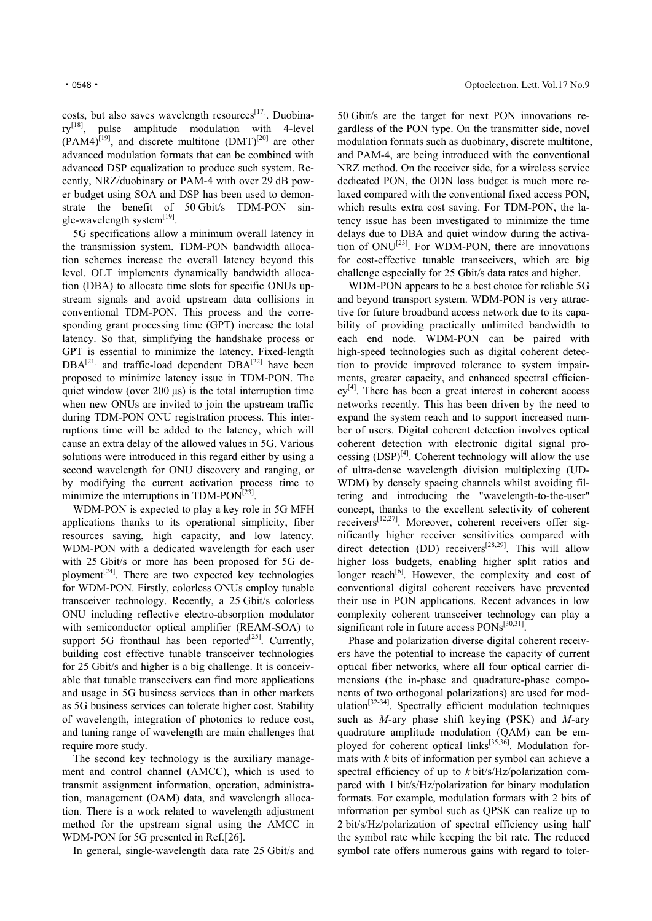costs, but also saves wavelength resources<sup>[17]</sup>. Duobina $rv^{[18]}$ , pulse amplitude modulation with 4-level  $(PAM4)^{[19]}$ , and discrete multitone  $(DMT)^{[20]}$  are other advanced modulation formats that can be combined with advanced DSP equalization to produce such system. Recently, NRZ/duobinary or PAM-4 with over 29 dB power budget using SOA and DSP has been used to demonstrate the benefit of 50 Gbit/s TDM-PON single-wavelength system<sup>[19]</sup>.

5G specifications allow a minimum overall latency in the transmission system. TDM-PON bandwidth allocation schemes increase the overall latency beyond this level. OLT implements dynamically bandwidth allocation (DBA) to allocate time slots for specific ONUs upstream signals and avoid upstream data collisions in conventional TDM-PON. This process and the corresponding grant processing time (GPT) increase the total latency. So that, simplifying the handshake process or GPT is essential to minimize the latency. Fixed-length  $DBA^{[21]}$  and traffic-load dependent  $DBA^{[22]}$  have been proposed to minimize latency issue in TDM-PON. The quiet window (over  $200 \,\mu s$ ) is the total interruption time when new ONUs are invited to join the upstream traffic during TDM-PON ONU registration process. This interruptions time will be added to the latency, which will cause an extra delay of the allowed values in 5G. Various solutions were introduced in this regard either by using a second wavelength for ONU discovery and ranging, or by modifying the current activation process time to minimize the interruptions in TDM-PON<sup> $[23]$ </sup>.

WDM-PON is expected to play a key role in 5G MFH applications thanks to its operational simplicity, fiber resources saving, high capacity, and low latency. WDM-PON with a dedicated wavelength for each user with 25 Gbit/s or more has been proposed for 5G deployment<sup>[24]</sup>. There are two expected key technologies for WDM-PON. Firstly, colorless ONUs employ tunable transceiver technology. Recently, a 25 Gbit/s colorless ONU including reflective electro-absorption modulator with semiconductor optical amplifier (REAM-SOA) to support 5G fronthaul has been reported<sup>[25]</sup>. Currently, building cost effective tunable transceiver technologies for 25 Gbit/s and higher is a big challenge. It is conceivable that tunable transceivers can find more applications and usage in 5G business services than in other markets as 5G business services can tolerate higher cost. Stability of wavelength, integration of photonics to reduce cost, and tuning range of wavelength are main challenges that require more study.

The second key technology is the auxiliary management and control channel (AMCC), which is used to transmit assignment information, operation, administration, management (OAM) data, and wavelength allocation. There is a work related to wavelength adjustment method for the upstream signal using the AMCC in WDM-PON for 5G presented in Ref.[26].

In general, single-wavelength data rate 25 Gbit/s and

50 Gbit/s are the target for next PON innovations regardless of the PON type. On the transmitter side, novel modulation formats such as duobinary, discrete multitone, and PAM-4, are being introduced with the conventional NRZ method. On the receiver side, for a wireless service dedicated PON, the ODN loss budget is much more relaxed compared with the conventional fixed access PON, which results extra cost saving. For TDM-PON, the latency issue has been investigated to minimize the time delays due to DBA and quiet window during the activation of ONU<sup>[23]</sup>. For WDM-PON, there are innovations for cost-effective tunable transceivers, which are big challenge especially for 25 Gbit/s data rates and higher.

WDM-PON appears to be a best choice for reliable 5G and beyond transport system. WDM-PON is very attractive for future broadband access network due to its capability of providing practically unlimited bandwidth to each end node. WDM-PON can be paired with high-speed technologies such as digital coherent detection to provide improved tolerance to system impairments, greater capacity, and enhanced spectral efficien $cv^{[4]}$ . There has been a great interest in coherent access networks recently. This has been driven by the need to expand the system reach and to support increased number of users. Digital coherent detection involves optical coherent detection with electronic digital signal processing  $(DSP)^{[4]}$ . Coherent technology will allow the use of ultra-dense wavelength division multiplexing (UD-WDM) by densely spacing channels whilst avoiding filtering and introducing the "wavelength-to-the-user" concept, thanks to the excellent selectivity of coherent receivers<sup>[12,27]</sup>. Moreover, coherent receivers offer significantly higher receiver sensitivities compared with direct detection (DD) receivers<sup>[28,29]</sup>. This will allow higher loss budgets, enabling higher split ratios and longer reach<sup>[6]</sup>. However, the complexity and cost of conventional digital coherent receivers have prevented their use in PON applications. Recent advances in low complexity coherent transceiver technology can play a significant role in future access  $PONs^{[30,31]}$ .

Phase and polarization diverse digital coherent receivers have the potential to increase the capacity of current optical fiber networks, where all four optical carrier dimensions (the in-phase and quadrature-phase components of two orthogonal polarizations) are used for modulation<sup>[32-34]</sup>. Spectrally efficient modulation techniques such as *M*-ary phase shift keying (PSK) and *M*-ary quadrature amplitude modulation (QAM) can be employed for coherent optical links<sup>[35,36]</sup>. Modulation formats with *k* bits of information per symbol can achieve a spectral efficiency of up to *k* bit/s/Hz/polarization compared with 1 bit/s/Hz/polarization for binary modulation formats. For example, modulation formats with 2 bits of information per symbol such as QPSK can realize up to 2 bit/s/Hz/polarization of spectral efficiency using half the symbol rate while keeping the bit rate. The reduced symbol rate offers numerous gains with regard to toler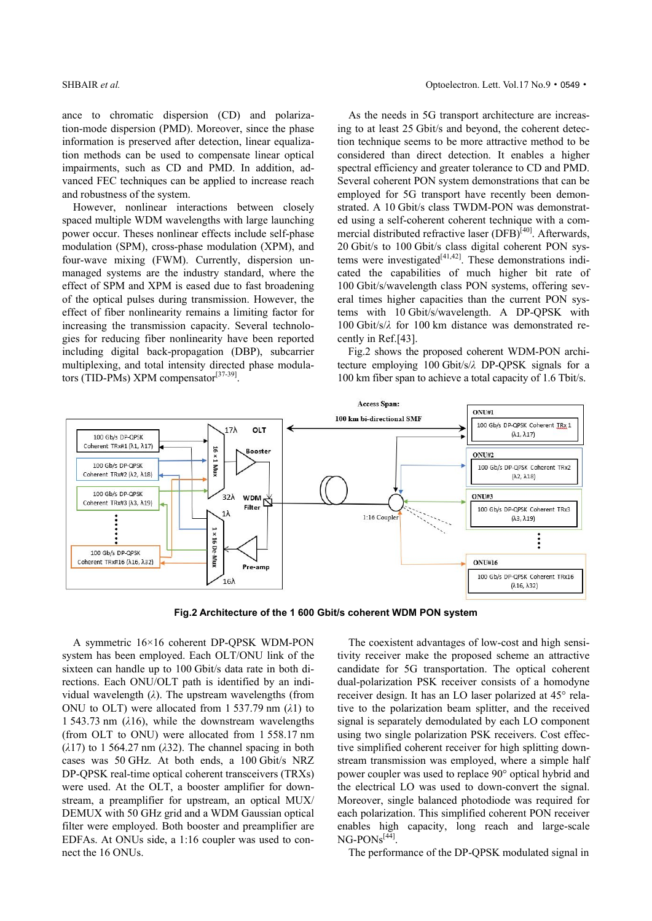ance to chromatic dispersion (CD) and polarization-mode dispersion (PMD). Moreover, since the phase information is preserved after detection, linear equalization methods can be used to compensate linear optical impairments, such as CD and PMD. In addition, advanced FEC techniques can be applied to increase reach and robustness of the system.

However, nonlinear interactions between closely spaced multiple WDM wavelengths with large launching power occur. Theses nonlinear effects include self-phase modulation (SPM), cross-phase modulation (XPM), and four-wave mixing (FWM). Currently, dispersion unmanaged systems are the industry standard, where the effect of SPM and XPM is eased due to fast broadening of the optical pulses during transmission. However, the effect of fiber nonlinearity remains a limiting factor for increasing the transmission capacity. Several technologies for reducing fiber nonlinearity have been reported including digital back-propagation (DBP), subcarrier multiplexing, and total intensity directed phase modulators (TID-PMs) XPM compensator<sup>[37-39]</sup>.

As the needs in 5G transport architecture are increasing to at least 25 Gbit/s and beyond, the coherent detection technique seems to be more attractive method to be considered than direct detection. It enables a higher spectral efficiency and greater tolerance to CD and PMD. Several coherent PON system demonstrations that can be employed for 5G transport have recently been demonstrated. A 10 Gbit/s class TWDM-PON was demonstrated using a self-coherent coherent technique with a commercial distributed refractive laser (DFB)<sup>[40]</sup>. Afterwards, 20 Gbit/s to 100 Gbit/s class digital coherent PON systems were investigated $[41,42]$ . These demonstrations indicated the capabilities of much higher bit rate of 100 Gbit/s/wavelength class PON systems, offering several times higher capacities than the current PON systems with 10 Gbit/s/wavelength. A DP-QPSK with 100 Gbit/s/*λ* for 100 km distance was demonstrated recently in Ref.[43].

Fig.2 shows the proposed coherent WDM-PON architecture employing 100 Gbit/s/*λ* DP-QPSK signals for a 100 km fiber span to achieve a total capacity of 1.6 Tbit/s.



**Fig.2 Architecture of the 1 600 Gbit/s coherent WDM PON system** 

A symmetric 16×16 coherent DP-QPSK WDM-PON system has been employed. Each OLT/ONU link of the sixteen can handle up to 100 Gbit/s data rate in both directions. Each ONU/OLT path is identified by an individual wavelength (*λ*). The upstream wavelengths (from ONU to OLT) were allocated from 1 537.79 nm (*λ*1) to 1 543.73 nm (*λ*16), while the downstream wavelengths (from OLT to ONU) were allocated from 1 558.17 nm (*λ*17) to 1 564.27 nm (*λ*32). The channel spacing in both cases was 50 GHz. At both ends, a 100 Gbit/s NRZ DP-QPSK real-time optical coherent transceivers (TRXs) were used. At the OLT, a booster amplifier for downstream, a preamplifier for upstream, an optical MUX/ DEMUX with 50 GHz grid and a WDM Gaussian optical filter were employed. Both booster and preamplifier are EDFAs. At ONUs side, a 1:16 coupler was used to connect the 16 ONUs.

The coexistent advantages of low-cost and high sensitivity receiver make the proposed scheme an attractive candidate for 5G transportation. The optical coherent dual-polarization PSK receiver consists of a homodyne receiver design. It has an LO laser polarized at 45° relative to the polarization beam splitter, and the received signal is separately demodulated by each LO component using two single polarization PSK receivers. Cost effective simplified coherent receiver for high splitting downstream transmission was employed, where a simple half power coupler was used to replace 90° optical hybrid and the electrical LO was used to down-convert the signal. Moreover, single balanced photodiode was required for each polarization. This simplified coherent PON receiver enables high capacity, long reach and large-scale  $NG-PONS<sup>[44]</sup>$ .

The performance of the DP-QPSK modulated signal in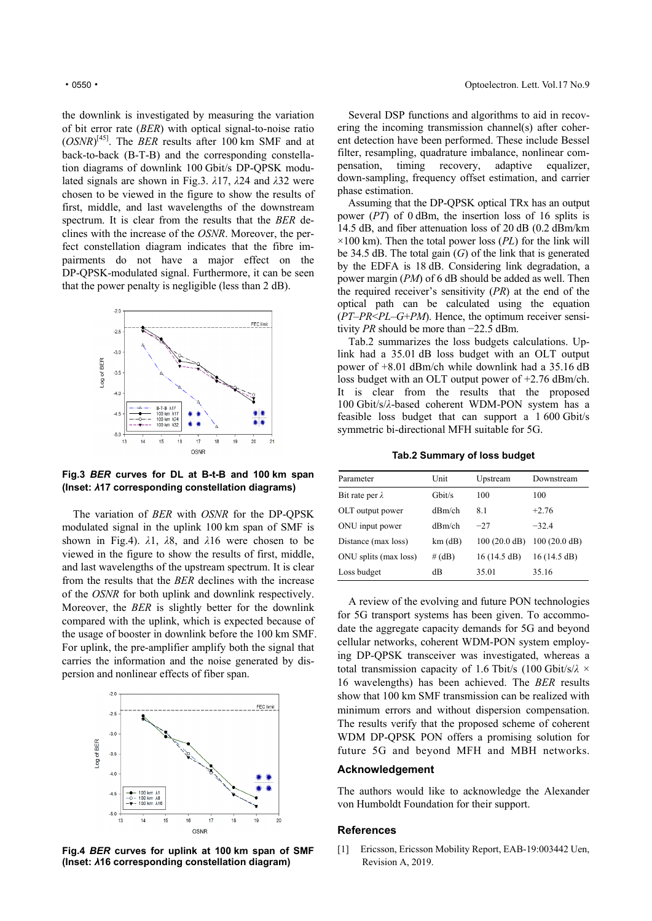the downlink is investigated by measuring the variation of bit error rate (*BER*) with optical signal-to-noise ratio  $(OSNR)^{[45]}$ . The *BER* results after 100 km SMF and at back-to-back (B-T-B) and the corresponding constellation diagrams of downlink 100 Gbit/s DP-QPSK modulated signals are shown in Fig.3. *λ*17, *λ*24 and *λ*32 were chosen to be viewed in the figure to show the results of first, middle, and last wavelengths of the downstream spectrum. It is clear from the results that the *BER* declines with the increase of the *OSNR*. Moreover, the perfect constellation diagram indicates that the fibre impairments do not have a major effect on the DP-QPSK-modulated signal. Furthermore, it can be seen that the power penalty is negligible (less than 2 dB).



**Fig.3** *BER* **curves for DL at B-t-B and 100 km span (Inset:** *λ***17 corresponding constellation diagrams)**

The variation of *BER* with *OSNR* for the DP-QPSK modulated signal in the uplink 100 km span of SMF is shown in Fig.4). *λ*1, *λ*8, and *λ*16 were chosen to be viewed in the figure to show the results of first, middle, and last wavelengths of the upstream spectrum. It is clear from the results that the *BER* declines with the increase of the *OSNR* for both uplink and downlink respectively. Moreover, the *BER* is slightly better for the downlink compared with the uplink, which is expected because of the usage of booster in downlink before the 100 km SMF. For uplink, the pre-amplifier amplify both the signal that carries the information and the noise generated by dispersion and nonlinear effects of fiber span.



**Fig.4** *BER* **curves for uplink at 100 km span of SMF (Inset:** *λ***16 corresponding constellation diagram)** 

Several DSP functions and algorithms to aid in recovering the incoming transmission channel(s) after coherent detection have been performed. These include Bessel filter, resampling, quadrature imbalance, nonlinear compensation, timing recovery, adaptive equalizer, down-sampling, frequency offset estimation, and carrier phase estimation.

Assuming that the DP-QPSK optical TRx has an output power (*PT*) of 0 dBm, the insertion loss of 16 splits is 14.5 dB, and fiber attenuation loss of 20 dB (0.2 dBm/km  $\times$ 100 km). Then the total power loss (*PL*) for the link will be 34.5 dB. The total gain (*G*) of the link that is generated by the EDFA is 18 dB. Considering link degradation, a power margin (*PM*) of 6 dB should be added as well. Then the required receiver's sensitivity (*PR*) at the end of the optical path can be calculated using the equation (*PT*–*PR*<*PL*–*G*+*PM*). Hence, the optimum receiver sensitivity *PR* should be more than −22.5 dBm.

Tab.2 summarizes the loss budgets calculations. Uplink had a 35.01 dB loss budget with an OLT output power of +8.01 dBm/ch while downlink had a 35.16 dB loss budget with an OLT output power of +2.76 dBm/ch. It is clear from the results that the proposed 100 Gbit/s/*λ*-based coherent WDM-PON system has a feasible loss budget that can support a 1 600 Gbit/s symmetric bi-directional MFH suitable for 5G.

**Tab.2 Summary of loss budget**

| Parameter              | Unit      | Upstream               | Downstream             |
|------------------------|-----------|------------------------|------------------------|
| Bit rate per $\lambda$ | Gbit/s    | 100                    | 100                    |
| OLT output power       | $dRm$ /ch | 8.1                    | $+2.76$                |
| ONU input power        | dRm/ch    | $-27$                  | $-32.4$                |
| Distance (max loss)    | $km$ (dB) | $100(20.0 \text{ dB})$ | $100(20.0 \text{ dB})$ |
| ONU splits (max loss)  | # (dB)    | 16(14.5 dB)            | 16(14.5 dB)            |
| Loss budget            | dВ        | 35.01                  | 35.16                  |

A review of the evolving and future PON technologies for 5G transport systems has been given. To accommodate the aggregate capacity demands for 5G and beyond cellular networks, coherent WDM-PON system employing DP-QPSK transceiver was investigated, whereas a total transmission capacity of 1.6 Tbit/s (100 Gbit/s/*λ* × 16 wavelengths) has been achieved. The *BER* results show that 100 km SMF transmission can be realized with minimum errors and without dispersion compensation. The results verify that the proposed scheme of coherent WDM DP-QPSK PON offers a promising solution for future 5G and beyond MFH and MBH networks.

# **Acknowledgement**

The authors would like to acknowledge the Alexander von Humboldt Foundation for their support.

# **References**

[1] Ericsson, Ericsson Mobility Report, EAB-19:003442 Uen, Revision A, 2019.